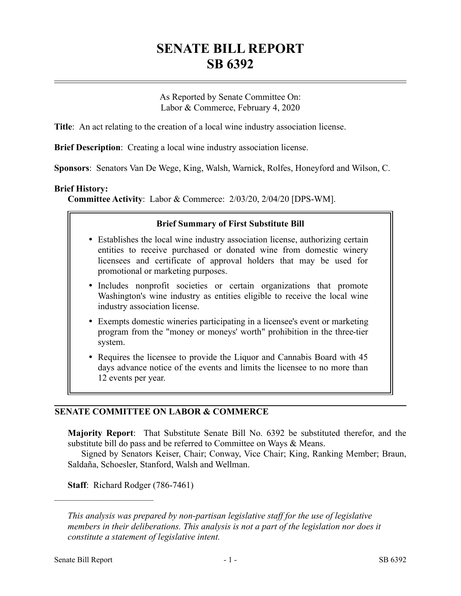# **SENATE BILL REPORT SB 6392**

As Reported by Senate Committee On: Labor & Commerce, February 4, 2020

**Title**: An act relating to the creation of a local wine industry association license.

**Brief Description**: Creating a local wine industry association license.

**Sponsors**: Senators Van De Wege, King, Walsh, Warnick, Rolfes, Honeyford and Wilson, C.

### **Brief History:**

**Committee Activity**: Labor & Commerce: 2/03/20, 2/04/20 [DPS-WM].

### **Brief Summary of First Substitute Bill**

- Establishes the local wine industry association license, authorizing certain entities to receive purchased or donated wine from domestic winery licensees and certificate of approval holders that may be used for promotional or marketing purposes.
- Includes nonprofit societies or certain organizations that promote Washington's wine industry as entities eligible to receive the local wine industry association license.
- Exempts domestic wineries participating in a licensee's event or marketing program from the "money or moneys' worth" prohibition in the three-tier system.
- Requires the licensee to provide the Liquor and Cannabis Board with 45 days advance notice of the events and limits the licensee to no more than 12 events per year.

# **SENATE COMMITTEE ON LABOR & COMMERCE**

**Majority Report**: That Substitute Senate Bill No. 6392 be substituted therefor, and the substitute bill do pass and be referred to Committee on Ways & Means.

Signed by Senators Keiser, Chair; Conway, Vice Chair; King, Ranking Member; Braun, Saldaña, Schoesler, Stanford, Walsh and Wellman.

**Staff**: Richard Rodger (786-7461)

––––––––––––––––––––––

*This analysis was prepared by non-partisan legislative staff for the use of legislative members in their deliberations. This analysis is not a part of the legislation nor does it constitute a statement of legislative intent.*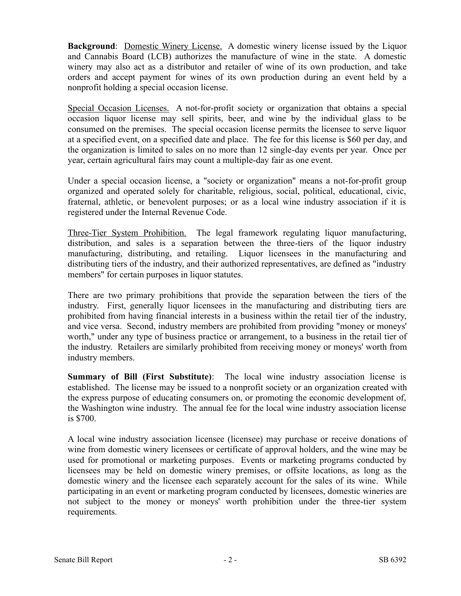**Background**: Domestic Winery License. A domestic winery license issued by the Liquor and Cannabis Board (LCB) authorizes the manufacture of wine in the state. A domestic winery may also act as a distributor and retailer of wine of its own production, and take orders and accept payment for wines of its own production during an event held by a nonprofit holding a special occasion license.

Special Occasion Licenses. A not-for-profit society or organization that obtains a special occasion liquor license may sell spirits, beer, and wine by the individual glass to be consumed on the premises. The special occasion license permits the licensee to serve liquor at a specified event, on a specified date and place. The fee for this license is \$60 per day, and the organization is limited to sales on no more than 12 single-day events per year. Once per year, certain agricultural fairs may count a multiple-day fair as one event.

Under a special occasion license, a "society or organization" means a not-for-profit group organized and operated solely for charitable, religious, social, political, educational, civic, fraternal, athletic, or benevolent purposes; or as a local wine industry association if it is registered under the Internal Revenue Code.

Three-Tier System Prohibition. The legal framework regulating liquor manufacturing, distribution, and sales is a separation between the three-tiers of the liquor industry manufacturing, distributing, and retailing. Liquor licensees in the manufacturing and distributing tiers of the industry, and their authorized representatives, are defined as "industry members" for certain purposes in liquor statutes.

There are two primary prohibitions that provide the separation between the tiers of the industry. First, generally liquor licensees in the manufacturing and distributing tiers are prohibited from having financial interests in a business within the retail tier of the industry, and vice versa. Second, industry members are prohibited from providing "money or moneys' worth," under any type of business practice or arrangement, to a business in the retail tier of the industry. Retailers are similarly prohibited from receiving money or moneys' worth from industry members.

**Summary of Bill (First Substitute)**: The local wine industry association license is established. The license may be issued to a nonprofit society or an organization created with the express purpose of educating consumers on, or promoting the economic development of, the Washington wine industry. The annual fee for the local wine industry association license is \$700.

A local wine industry association licensee (licensee) may purchase or receive donations of wine from domestic winery licensees or certificate of approval holders, and the wine may be used for promotional or marketing purposes. Events or marketing programs conducted by licensees may be held on domestic winery premises, or offsite locations, as long as the domestic winery and the licensee each separately account for the sales of its wine. While participating in an event or marketing program conducted by licensees, domestic wineries are not subject to the money or moneys' worth prohibition under the three-tier system requirements.